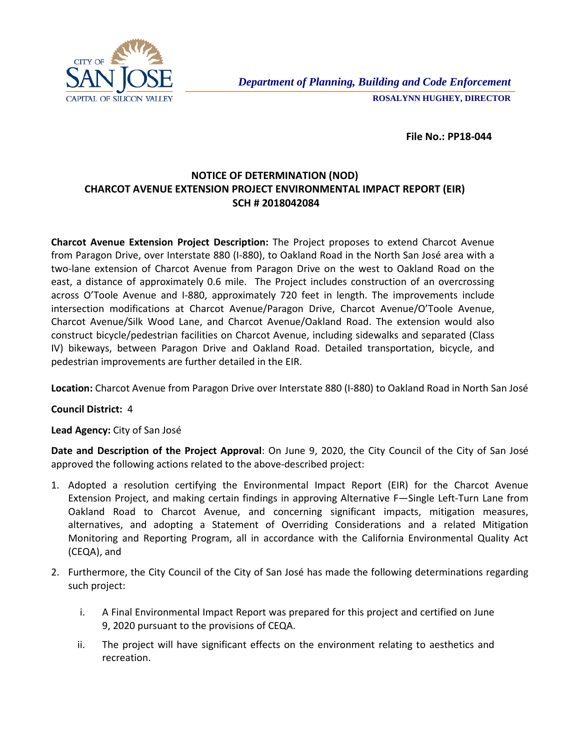

 **File No.: PP18-044**

## **NOTICE OF DETERMINATION (NOD) CHARCOT AVENUE EXTENSION PROJECT ENVIRONMENTAL IMPACT REPORT (EIR) SCH # 2018042084**

**Charcot Avenue Extension Project Description:** The Project proposes to extend Charcot Avenue from Paragon Drive, over Interstate 880 (I-880), to Oakland Road in the North San José area with a two-lane extension of Charcot Avenue from Paragon Drive on the west to Oakland Road on the east, a distance of approximately 0.6 mile. The Project includes construction of an overcrossing across O'Toole Avenue and I-880, approximately 720 feet in length. The improvements include intersection modifications at Charcot Avenue/Paragon Drive, Charcot Avenue/O'Toole Avenue, Charcot Avenue/Silk Wood Lane, and Charcot Avenue/Oakland Road. The extension would also construct bicycle/pedestrian facilities on Charcot Avenue, including sidewalks and separated (Class IV) bikeways, between Paragon Drive and Oakland Road. Detailed transportation, bicycle, and pedestrian improvements are further detailed in the EIR.

**Location:** Charcot Avenue from Paragon Drive over Interstate 880 (I-880) to Oakland Road in North San José

**Council District:** 4

**Lead Agency:** City of San José

**Date and Description of the Project Approval**: On June 9, 2020, the City Council of the City of San José approved the following actions related to the above-described project:

- 1. Adopted a resolution certifying the Environmental Impact Report (EIR) for the Charcot Avenue Extension Project, and making certain findings in approving Alternative F—Single Left-Turn Lane from Oakland Road to Charcot Avenue, and concerning significant impacts, mitigation measures, alternatives, and adopting a Statement of Overriding Considerations and a related Mitigation Monitoring and Reporting Program, all in accordance with the California Environmental Quality Act (CEQA), and
- 2. Furthermore, the City Council of the City of San José has made the following determinations regarding such project:
	- i. A Final Environmental Impact Report was prepared for this project and certified on June 9, 2020 pursuant to the provisions of CEQA.
	- ii. The project will have significant effects on the environment relating to aesthetics and recreation.